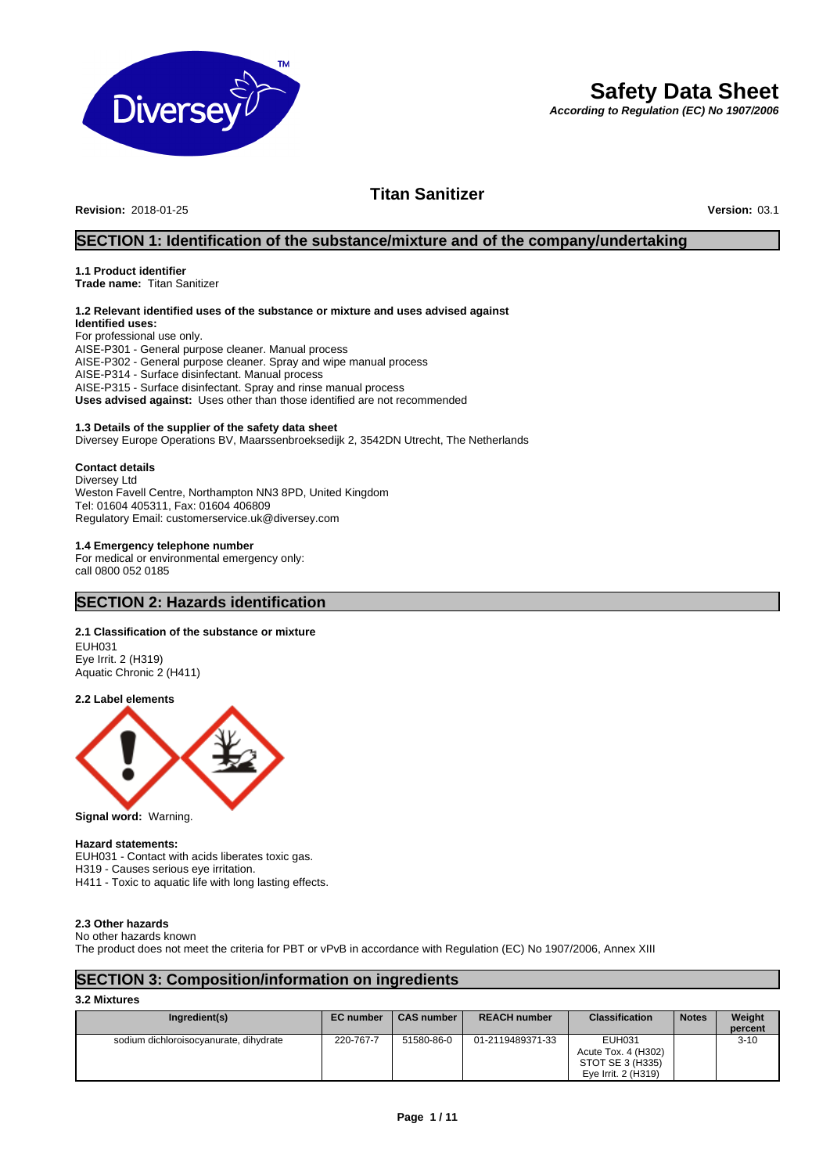

# **Safety Data Sheet**

*According to Regulation (EC) No 1907/2006*

# **Titan Sanitizer**

**Revision:** 2018-01-25 **Version:** 03.1

## **SECTION 1: Identification of the substance/mixture and of the company/undertaking**

## **1.1 Product identifier**

**Trade name:** Titan Sanitizer

## **1.2 Relevant identified uses of the substance or mixture and uses advised against**

**Identified uses:** For professional use only. AISE-P301 - General purpose cleaner. Manual process AISE-P302 - General purpose cleaner. Spray and wipe manual process AISE-P314 - Surface disinfectant. Manual process AISE-P315 - Surface disinfectant. Spray and rinse manual process **Uses advised against:** Uses other than those identified are not recommended

#### **1.3 Details of the supplier of the safety data sheet**

Diversey Europe Operations BV, Maarssenbroeksedijk 2, 3542DN Utrecht, The Netherlands

#### **Contact details**

Diversey Ltd Weston Favell Centre, Northampton NN3 8PD, United Kingdom Tel: 01604 405311, Fax: 01604 406809 Regulatory Email: customerservice.uk@diversey.com

#### **1.4 Emergency telephone number**

For medical or environmental emergency only: call 0800 052 0185

## **SECTION 2: Hazards identification**

#### **2.1 Classification of the substance or mixture**

EUH031 Eye Irrit. 2 (H319) Aquatic Chronic 2 (H411)

#### **2.2 Label elements**



**Signal word:** Warning.

#### **Hazard statements:**

EUH031 - Contact with acids liberates toxic gas. H319 - Causes serious eye irritation. H411 - Toxic to aquatic life with long lasting effects.

## **2.3 Other hazards**

## No other hazards known

The product does not meet the criteria for PBT or vPvB in accordance with Regulation (EC) No 1907/2006, Annex XIII

## **SECTION 3: Composition/information on ingredients**

### **3.2 Mixtures**

| Ingredient(s)                          | <b>EC</b> number | <b>CAS number</b> | <b>REACH number</b> | <b>Classification</b>                                                           | <b>Notes</b> | Weight<br>percent |
|----------------------------------------|------------------|-------------------|---------------------|---------------------------------------------------------------------------------|--------------|-------------------|
| sodium dichloroisocyanurate, dihydrate | 220-767-7        | 51580-86-0        | 01-2119489371-33    | <b>EUH031</b><br>Acute Tox. 4 (H302)<br>STOT SE 3 (H335)<br>Eve Irrit. 2 (H319) |              | $3 - 10$          |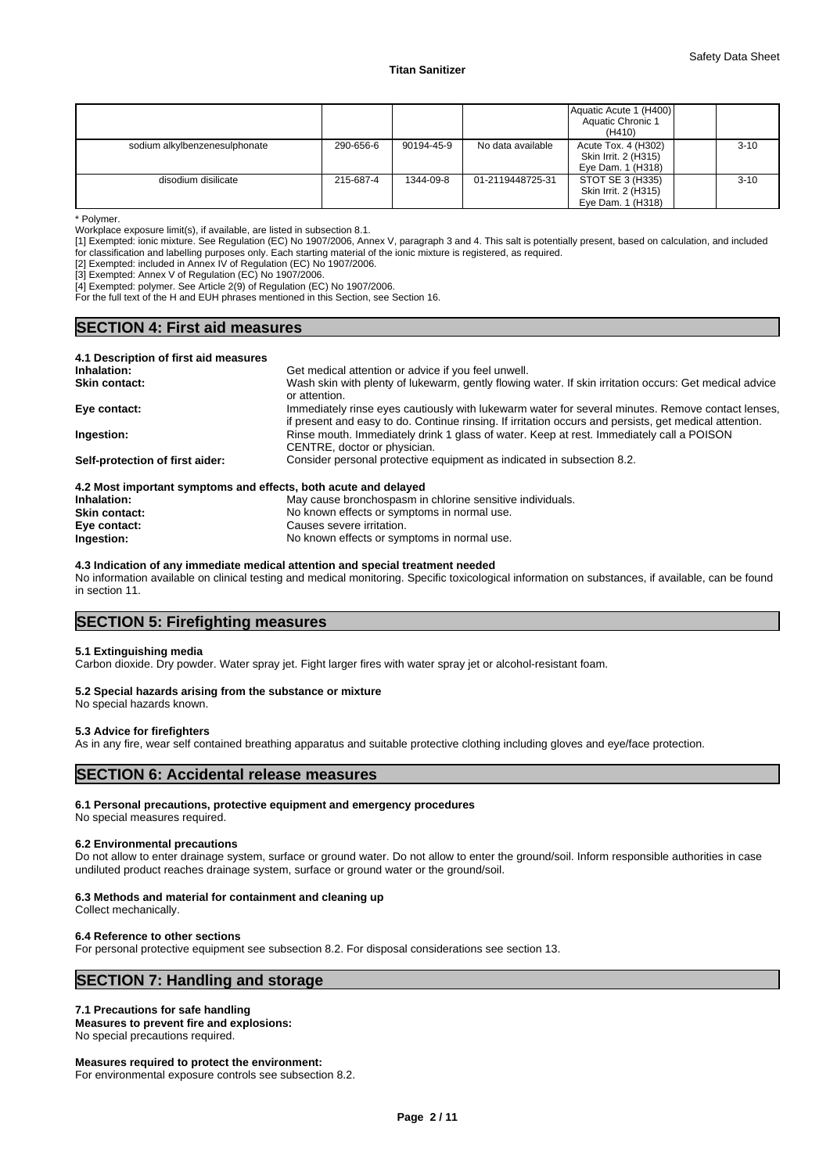|                               |           |            |                   | Aquatic Acute 1 (H400)<br>Aquatic Chronic 1<br>(H410)            |          |
|-------------------------------|-----------|------------|-------------------|------------------------------------------------------------------|----------|
| sodium alkylbenzenesulphonate | 290-656-6 | 90194-45-9 | No data available | Acute Tox. 4 (H302)<br>Skin Irrit. 2 (H315)<br>Eye Dam. 1 (H318) | $3 - 10$ |
| disodium disilicate           | 215-687-4 | 1344-09-8  | 01-2119448725-31  | STOT SE 3 (H335)<br>Skin Irrit. 2 (H315)<br>Eye Dam. 1 (H318)    | $3 - 10$ |

\* Polymer.

Workplace exposure limit(s), if available, are listed in subsection 8.1.

[1] Exempted: ionic mixture. See Regulation (EC) No 1907/2006, Annex V, paragraph 3 and 4. This salt is potentially present, based on calculation, and included for classification and labelling purposes only. Each starting material of the ionic mixture is registered, as required.

[2] Exempted: included in Annex IV of Regulation (EC) No 1907/2006.

[3] Exempted: Annex V of Regulation (EC) No 1907/2006.

[4] Exempted: polymer. See Article 2(9) of Regulation (EC) No 1907/2006.

For the full text of the H and EUH phrases mentioned in this Section, see Section 16.

## **SECTION 4: First aid measures**

| 4.1 Description of first aid measures<br>Inhalation:            | Get medical attention or advice if you feel unwell.                                                                                                                                                         |
|-----------------------------------------------------------------|-------------------------------------------------------------------------------------------------------------------------------------------------------------------------------------------------------------|
|                                                                 |                                                                                                                                                                                                             |
| <b>Skin contact:</b>                                            | Wash skin with plenty of lukewarm, gently flowing water. If skin irritation occurs: Get medical advice<br>or attention.                                                                                     |
| Eye contact:                                                    | Immediately rinse eyes cautiously with lukewarm water for several minutes. Remove contact lenses,<br>if present and easy to do. Continue rinsing. If irritation occurs and persists, get medical attention. |
| Ingestion:                                                      | Rinse mouth. Immediately drink 1 glass of water. Keep at rest. Immediately call a POISON<br>CENTRE, doctor or physician.                                                                                    |
| Self-protection of first aider:                                 | Consider personal protective equipment as indicated in subsection 8.2.                                                                                                                                      |
| 4.2 Most important symptoms and effects, both acute and delayed |                                                                                                                                                                                                             |
| Inholation:                                                     | May cause bropobosposm in oblaring consitive individuals                                                                                                                                                    |

| Inhalation:          | May cause bronchospasm in chlorine sensitive individuals. |
|----------------------|-----------------------------------------------------------|
| <b>Skin contact:</b> | No known effects or symptoms in normal use.               |
| Eye contact:         | Causes severe irritation.                                 |
| Ingestion:           | No known effects or symptoms in normal use.               |

#### **4.3 Indication of any immediate medical attention and special treatment needed**

No information available on clinical testing and medical monitoring. Specific toxicological information on substances, if available, can be found in section 11.

## **SECTION 5: Firefighting measures**

#### **5.1 Extinguishing media**

Carbon dioxide. Dry powder. Water spray jet. Fight larger fires with water spray jet or alcohol-resistant foam.

## **5.2 Special hazards arising from the substance or mixture**

No special hazards known. **5.3 Advice for firefighters**

As in any fire, wear self contained breathing apparatus and suitable protective clothing including gloves and eye/face protection.

## **SECTION 6: Accidental release measures**

#### **6.1 Personal precautions, protective equipment and emergency procedures**

No special measures required.

#### **6.2 Environmental precautions**

Do not allow to enter drainage system, surface or ground water. Do not allow to enter the ground/soil. Inform responsible authorities in case undiluted product reaches drainage system, surface or ground water or the ground/soil.

#### **6.3 Methods and material for containment and cleaning up**

Collect mechanically.

#### **6.4 Reference to other sections**

For personal protective equipment see subsection 8.2. For disposal considerations see section 13.

## **SECTION 7: Handling and storage**

#### **7.1 Precautions for safe handling**

**Measures to prevent fire and explosions:** No special precautions required.

#### **Measures required to protect the environment:**

For environmental exposure controls see subsection 8.2.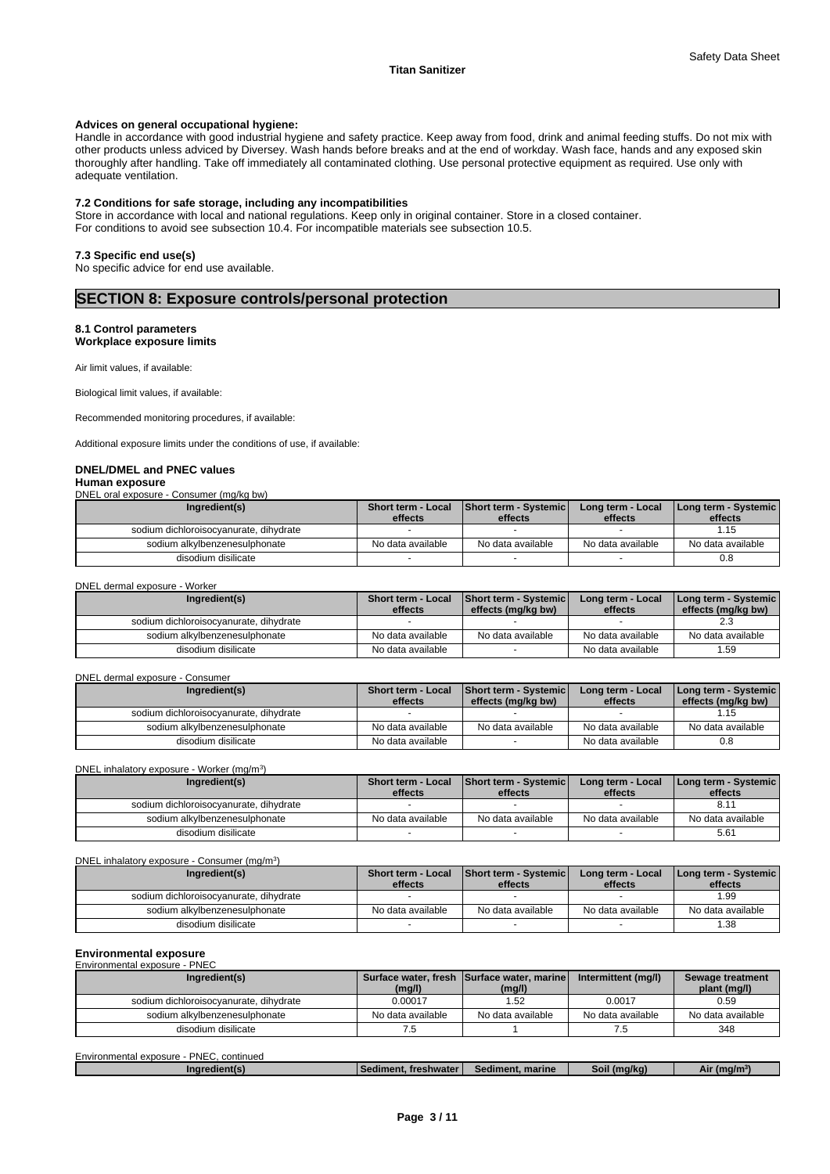#### **Advices on general occupational hygiene:**

Handle in accordance with good industrial hygiene and safety practice. Keep away from food, drink and animal feeding stuffs. Do not mix with other products unless adviced by Diversey. Wash hands before breaks and at the end of workday. Wash face, hands and any exposed skin thoroughly after handling. Take off immediately all contaminated clothing. Use personal protective equipment as required. Use only with adequate ventilation.

#### **7.2 Conditions for safe storage, including any incompatibilities**

Store in accordance with local and national regulations. Keep only in original container. Store in a closed container. For conditions to avoid see subsection 10.4. For incompatible materials see subsection 10.5.

## **7.3 Specific end use(s)**

No specific advice for end use available.

## **SECTION 8: Exposure controls/personal protection**

### **8.1 Control parameters Workplace exposure limits**

Air limit values, if available:

Biological limit values, if available:

Recommended monitoring procedures, if available:

Additional exposure limits under the conditions of use, if available:

## **DNEL/DMEL and PNEC values**

# **Human exposure** DNEL oral exposure - Consumer (mg/kg bw)

| <b>DIVEL VIGI CADOSGIC</b><br><b>POITSUITIOI</b> (IIIIQ/ING DW) |                                      |                                  |                              |                                 |  |  |  |
|-----------------------------------------------------------------|--------------------------------------|----------------------------------|------------------------------|---------------------------------|--|--|--|
| Ingredient(s)                                                   | <b>Short term - Local</b><br>effects | Short term - Systemic<br>effects | Long term - Local<br>effects | Long term - Systemic<br>effects |  |  |  |
| sodium dichloroisocvanurate, dihydrate                          |                                      |                                  |                              | $^{\circ}$ .15                  |  |  |  |
| sodium alkylbenzenesulphonate                                   | No data available                    | No data available                | No data available            | No data available               |  |  |  |
| disodium disilicate                                             |                                      |                                  |                              | 0.8                             |  |  |  |

DNEL dermal exposure - Worker

| Ingredient(s)                          | <b>Short term - Local</b><br>effects | Short term - Systemic<br>effects (mg/kg bw) | Long term - Local<br>effects | I Long term - Systemic I<br>effects (mg/kg bw) |
|----------------------------------------|--------------------------------------|---------------------------------------------|------------------------------|------------------------------------------------|
| sodium dichloroisocvanurate, dihydrate |                                      |                                             |                              | ں.ے                                            |
| sodium alkylbenzenesulphonate          | No data available                    | No data available                           | No data available            | No data available                              |
| disodium disilicate                    | No data available                    |                                             | No data available            | 59،،                                           |

#### DNEL dermal exposure - Consumer

| Ingredient(s)                          | <b>Short term - Local</b><br>effects | Short term - Systemic<br>effects (mg/kg bw) | Long term - Local<br>effects | <b>I Long term - Systemic I</b><br>effects (mg/kg bw) |
|----------------------------------------|--------------------------------------|---------------------------------------------|------------------------------|-------------------------------------------------------|
| sodium dichloroisocvanurate, dihydrate |                                      |                                             |                              |                                                       |
| sodium alkylbenzenesulphonate          | No data available                    | No data available                           | No data available            | No data available                                     |
| disodium disilicate                    | No data available                    |                                             | No data available            | 0.8                                                   |

DNEL inhalatory exposure - Worker (mg/m<sup>3</sup>)  $)$ 

| Ingredient(s)                          | <b>Short term - Local</b><br>effects | Short term - Systemic<br>effects | Long term - Local<br>effects | I Long term - Systemic I<br>effects |
|----------------------------------------|--------------------------------------|----------------------------------|------------------------------|-------------------------------------|
| sodium dichloroisocyanurate, dihydrate |                                      |                                  |                              | 8.1                                 |
| sodium alkylbenzenesulphonate          | No data available                    | No data available                | No data available            | No data available                   |
| disodium disilicate                    |                                      |                                  |                              | 5.6'                                |

#### DNEL inhalatory exposure - Consumer (mg/m<sup>3</sup>)

| Ingredient(s)                          | Short term - Local | Short term - Systemic | Long term - Local | Long term - Systemic |
|----------------------------------------|--------------------|-----------------------|-------------------|----------------------|
|                                        | effects            | effects               | effects           | effects              |
| sodium dichloroisocvanurate, dihydrate |                    |                       |                   | 1.99                 |
| sodium alkylbenzenesulphonate          | No data available  | No data available     | No data available | No data available    |
| disodium disilicate                    |                    |                       |                   | .38                  |

 $)$ 

#### **Environmental exposure** Environmental exposure - PNEC

| Ingredient(s)                          | (mg/l)            | Surface water, fresh Surface water, marine<br>(mg/l) | Intermittent (mg/l) | Sewage treatment<br>plant (mg/l) |
|----------------------------------------|-------------------|------------------------------------------------------|---------------------|----------------------------------|
| sodium dichloroisocyanurate, dihydrate | 0.00017           | 52،،                                                 | 0.0017              | 0.59                             |
| sodium alkylbenzenesulphonate          | No data available | No data available                                    | No data available   | No data available                |
| disodium disilicate                    |                   |                                                      |                     | 348                              |

| Environmental exposure<br>: - PNEC<br>continued |                          |                     |                        |           |
|-------------------------------------------------|--------------------------|---------------------|------------------------|-----------|
| <b>naredient(s'</b>                             | I Sediment, freshwater i | Sediment.<br>marine | .<br>l (mg/kg)<br>SOII | r (ma/mʲ) |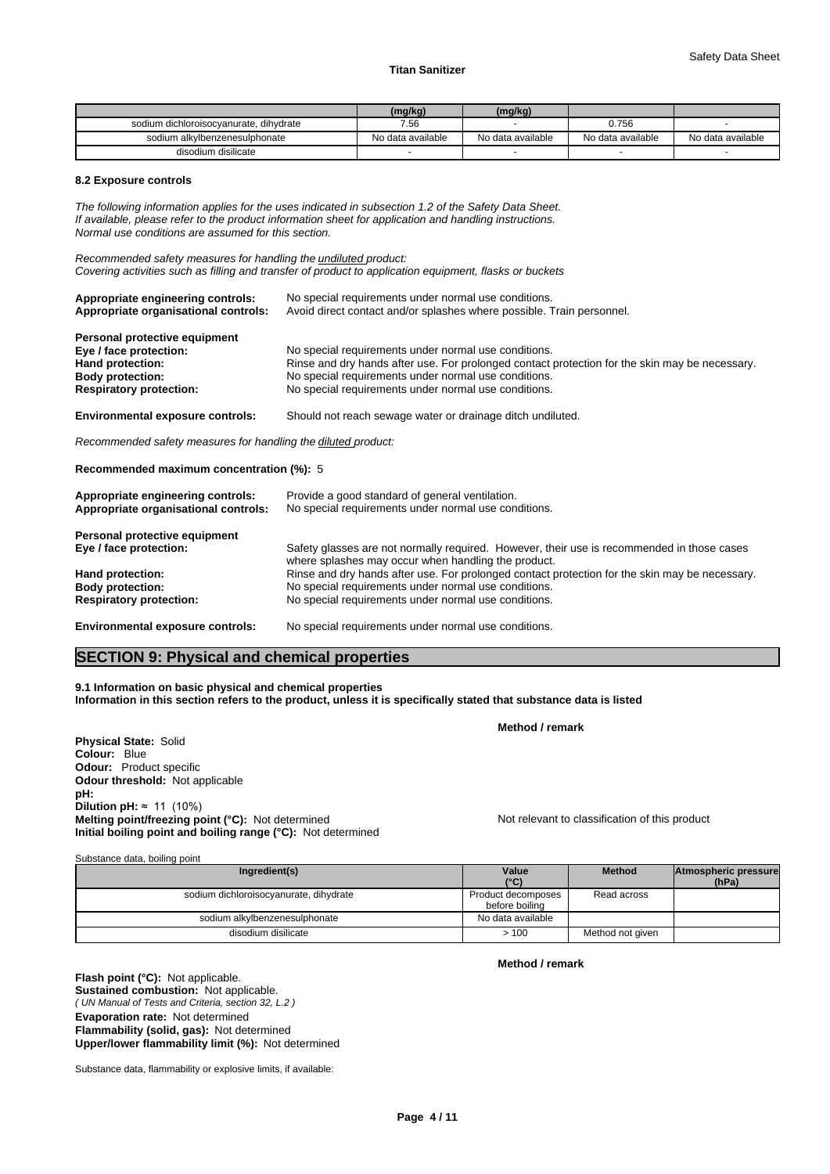|                                        | (mg/kg)           | (mg/kg)           |                   |                   |
|----------------------------------------|-------------------|-------------------|-------------------|-------------------|
| sodium dichloroisocvanurate, dihydrate | 7.56              |                   | 0.756             |                   |
| sodium alkylbenzenesulphonate          | No data available | No data available | No data available | No data available |
| disodium disilicate                    |                   |                   |                   |                   |

#### **8.2 Exposure controls**

*The following information applies for the uses indicated in subsection 1.2 of the Safety Data Sheet. If available, please refer to the product information sheet for application and handling instructions. Normal use conditions are assumed for this section.*

*Recommended safety measures for handling the undiluted product: Covering activities such as filling and transfer of product to application equipment, flasks or buckets*

| Appropriate engineering controls:    | No special requirements under normal use conditions.                  |
|--------------------------------------|-----------------------------------------------------------------------|
| Appropriate organisational controls: | Avoid direct contact and/or splashes where possible. Train personnel. |

| Personal protective equipment  |                                                                                                |
|--------------------------------|------------------------------------------------------------------------------------------------|
| Eye / face protection:         | No special requirements under normal use conditions.                                           |
| Hand protection:               | Rinse and dry hands after use. For prolonged contact protection for the skin may be necessary. |
| <b>Body protection:</b>        | No special requirements under normal use conditions.                                           |
| <b>Respiratory protection:</b> | No special requirements under normal use conditions.                                           |
|                                |                                                                                                |

**Environmental exposure controls:** Should not reach sewage water or drainage ditch undiluted.

*Recommended safety measures for handling the diluted product:*

**Recommended maximum concentration (%):** 5

| Appropriate engineering controls:<br>Appropriate organisational controls: | Provide a good standard of general ventilation.<br>No special requirements under normal use conditions.                                           |
|---------------------------------------------------------------------------|---------------------------------------------------------------------------------------------------------------------------------------------------|
| Personal protective equipment                                             |                                                                                                                                                   |
| Eye / face protection:                                                    | Safety glasses are not normally required. However, their use is recommended in those cases<br>where splashes may occur when handling the product. |
| Hand protection:                                                          | Rinse and dry hands after use. For prolonged contact protection for the skin may be necessary.                                                    |
| <b>Body protection:</b>                                                   | No special requirements under normal use conditions.                                                                                              |
| <b>Respiratory protection:</b>                                            | No special requirements under normal use conditions.                                                                                              |
| <b>Environmental exposure controls:</b>                                   | No special requirements under normal use conditions.                                                                                              |

## **SECTION 9: Physical and chemical properties**

**9.1 Information on basic physical and chemical properties Information in this section refers to the product, unless it is specifically stated that substance data is listed**

**Physical State:** Solid **Colour:** Blue **Odour:** Product specific **Odour threshold:** Not applicable **pH: Dilution pH:**  $\approx$  11 (10%) **Melting point/freezing point (°C):** Not determined Not relevant to classification of this product **Initial boiling point and boiling range (°C):** Not determined

**Method / remark**

Substance data, boiling point

| <b>JUDSTAITUE UATA, DUITITU PUILL</b>  |                                      |                  |                               |
|----------------------------------------|--------------------------------------|------------------|-------------------------------|
| Ingredient(s)                          | Value<br>(°C)                        | <b>Method</b>    | Atmospheric pressure<br>(hPa) |
| sodium dichloroisocyanurate, dihydrate | Product decomposes<br>before boiling | Read across      |                               |
| sodium alkylbenzenesulphonate          | No data available                    |                  |                               |
| disodium disilicate                    | >100                                 | Method not given |                               |

*( UN Manual of Tests and Criteria, section 32, L.2 )* **Flash point (°C):** Not applicable. **Sustained combustion:** Not applicable. **Evaporation rate:** Not determined **Flammability (solid, gas):** Not determined **Upper/lower flammability limit (%):** Not determined

Substance data, flammability or explosive limits, if available:

**Method / remark**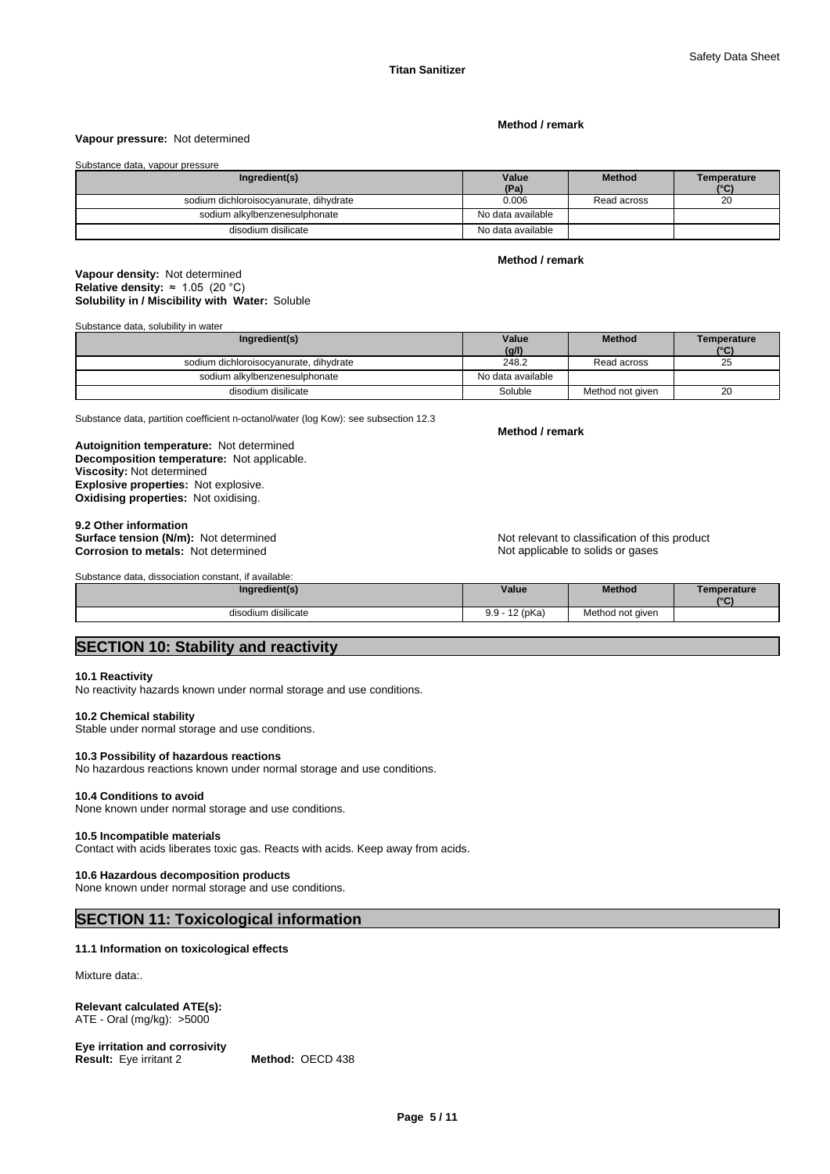#### **Method / remark**

**Method / remark**

#### **Vapour pressure:** Not determined

Substance data, vapour pressure

| Ingredient(s)                          | Value             | <b>Method</b> | Temperature   |
|----------------------------------------|-------------------|---------------|---------------|
|                                        | (Pa)              |               | $(^{\circ}C)$ |
| sodium dichloroisocyanurate, dihydrate | 0.006             | Read across   | 20            |
| sodium alkvlbenzenesulphonate          | No data available |               |               |
| disodium disilicate                    | No data available |               |               |

#### **Solubility in / Miscibility with Water:** Soluble **Vapour density:** Not determined **Relative density:** ≈1.05(20°C)

Substance data, solubility in water

| Ingredient(s)                          | Value             | <b>Method</b>    | Temperature |
|----------------------------------------|-------------------|------------------|-------------|
|                                        | (g/l)             |                  | (°C)        |
| sodium dichloroisocyanurate, dihydrate | 248.2             | Read across      | 25          |
| sodium alkylbenzenesulphonate          | No data available |                  |             |
| disodium disilicate                    | Soluble           | Method not given | 20          |

Substance data, partition coefficient n-octanol/water (log Kow): see subsection 12.3

**Decomposition temperature:** Not applicable. **Autoignition temperature:** Not determined **Viscosity:** Not determined **Explosive properties:** Not explosive. **Oxidising properties:** Not oxidising.

9.2 Other information<br>Surface tension (N/m): Not determined **Corrosion to metals:** Not determined **Notify and America Corrosion to metals:** Not determined

Substance data, dissociation constant, if available:

| Ingredient(s)       | Value               | <b>Method</b>    | <b>Temperature</b><br>$10^1$ |
|---------------------|---------------------|------------------|------------------------------|
| disodium disilicate | 12 (pKa)<br>$9.9 -$ | Method not given |                              |

## **SECTION 10: Stability and reactivity**

#### **10.1 Reactivity**

No reactivity hazards known under normal storage and use conditions.

#### **10.2 Chemical stability**

Stable under normal storage and use conditions.

#### **10.3 Possibility of hazardous reactions**

No hazardous reactions known under normal storage and use conditions.

#### **10.4 Conditions to avoid**

None known under normal storage and use conditions.

#### **10.5 Incompatible materials**

Contact with acids liberates toxic gas. Reacts with acids. Keep away from acids.

#### **10.6 Hazardous decomposition products**

None known under normal storage and use conditions.

## **SECTION 11: Toxicological information**

#### **11.1 Information on toxicological effects**

Mixture data:.

**Relevant calculated ATE(s):** ATE - Oral (mg/kg): >5000

**Eye irritation and corrosivity<br>
<b>Result:** Fye irritant 2 **Method:** OFCD 438 **Result:** Eye irritant 2

## **Page 5 / 11**

#### **Method / remark**

Not relevant to classification of this product

| 12 (pKa)<br>disodium disilicate<br>Method not given<br>$9.9 -$ | Ingredient(s) | Value | <b>Method</b> | <b>Femperature</b><br>$10^{\circ}$<br>$\cdots$ |
|----------------------------------------------------------------|---------------|-------|---------------|------------------------------------------------|
|                                                                |               |       |               |                                                |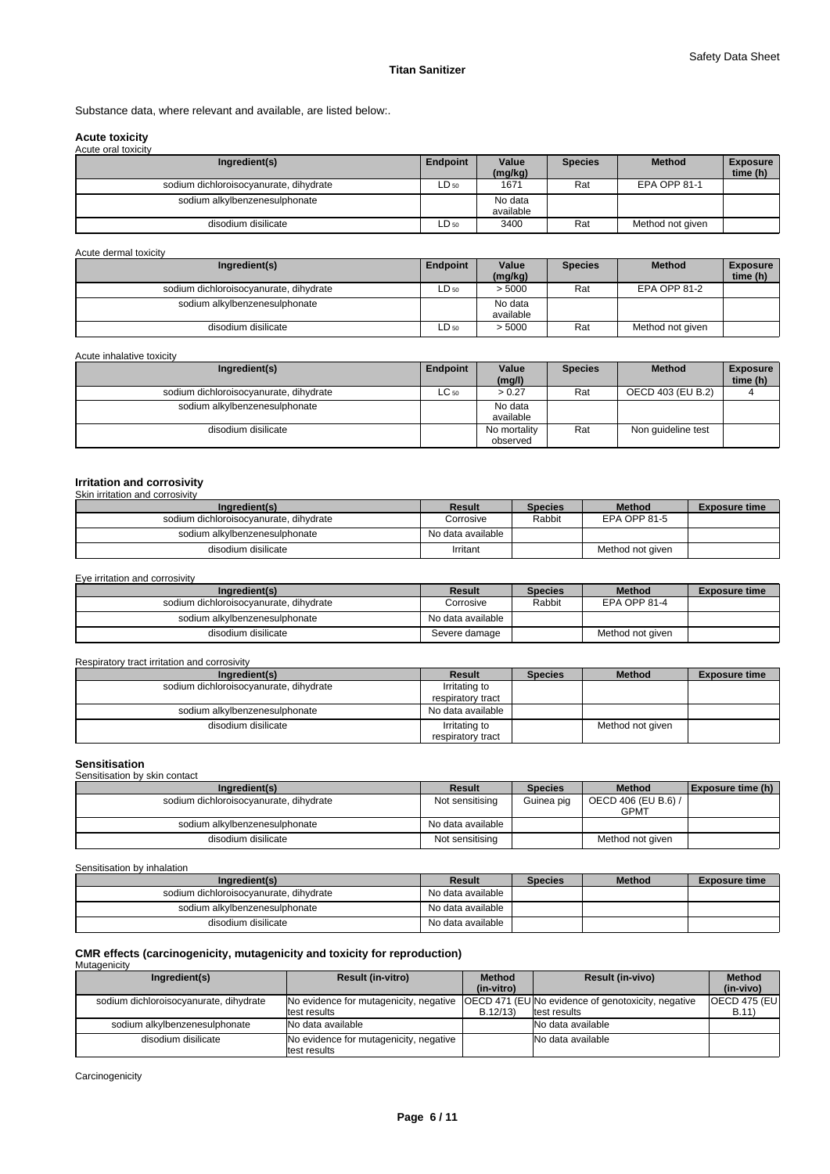Substance data, where relevant and available, are listed below:.

#### **Acute toxicity** Acute oral toxicity

| $\overline{\phantom{a}}$ , water of an texture |           |                      |                |                  |                             |
|------------------------------------------------|-----------|----------------------|----------------|------------------|-----------------------------|
| Ingredient(s)                                  | Endpoint  | Value<br>(mg/kg)     | <b>Species</b> | <b>Method</b>    | <b>Exposure</b><br>time (h) |
| sodium dichloroisocyanurate, dihydrate         | $LD_{50}$ | 1671                 | Rat            | EPA OPP 81-1     |                             |
| sodium alkylbenzenesulphonate                  |           | No data<br>available |                |                  |                             |
| disodium disilicate                            | $LD_{50}$ | 3400                 | Rat            | Method not given |                             |

Acute dermal toxicity

| Ingredient(s)                          | Endpoint  | Value<br>(mg/kg)     | <b>Species</b> | <b>Method</b>    | <b>Exposure</b><br>time (h) |
|----------------------------------------|-----------|----------------------|----------------|------------------|-----------------------------|
| sodium dichloroisocyanurate, dihydrate | ∟D 50     | > 5000               | Rat            | EPA OPP 81-2     |                             |
| sodium alkylbenzenesulphonate          |           | No data<br>available |                |                  |                             |
| disodium disilicate                    | $LD_{50}$ | > 5000               | Rat            | Method not given |                             |

Acute inhalative toxicity

| Ingredient(s)                          | Endpoint  | Value<br>(mg/l)          | <b>Species</b> | <b>Method</b>      | <b>Exposure</b><br>time (h) |
|----------------------------------------|-----------|--------------------------|----------------|--------------------|-----------------------------|
| sodium dichloroisocyanurate, dihydrate | $LC_{50}$ | > 0.27                   | Rat            | OECD 403 (EU B.2)  |                             |
| sodium alkylbenzenesulphonate          |           | No data<br>available     |                |                    |                             |
| disodium disilicate                    |           | No mortality<br>observed | Rat            | Non quideline test |                             |

#### **Irritation and corrosivity** Skin irritation and corrosivity

| Ingredient(s)                          | Result            | <b>Species</b> | <b>Method</b>    | <b>Exposure time</b> |
|----------------------------------------|-------------------|----------------|------------------|----------------------|
| sodium dichloroisocyanurate, dihydrate | Corrosive         | Rabbit         | EPA OPP 81-5     |                      |
| sodium alkylbenzenesulphonate          | No data available |                |                  |                      |
| disodium disilicate                    | Irritant          |                | Method not given |                      |

Eye irritation and corrosivity

| Ingredient(s)                          | Result            | <b>Species</b> | <b>Method</b>    | <b>Exposure time</b> |
|----------------------------------------|-------------------|----------------|------------------|----------------------|
| sodium dichloroisocvanurate, dihydrate | Corrosive         | Rabbit         | EPA OPP 81-4     |                      |
| sodium alkylbenzenesulphonate          | No data available |                |                  |                      |
| disodium disilicate                    | Severe damage     |                | Method not given |                      |

#### Respiratory tract irritation and corrosivity

| Ingredient(s)                          | Result            | <b>Species</b> | <b>Method</b>    | <b>Exposure time</b> |
|----------------------------------------|-------------------|----------------|------------------|----------------------|
| sodium dichloroisocyanurate, dihydrate | Irritating to     |                |                  |                      |
|                                        | respiratory tract |                |                  |                      |
| sodium alkylbenzenesulphonate          | No data available |                |                  |                      |
| disodium disilicate                    | Irritating to     |                | Method not given |                      |
|                                        | respiratory tract |                |                  |                      |

| Sensitisation                          |                   |                |                                    |                   |  |  |  |  |
|----------------------------------------|-------------------|----------------|------------------------------------|-------------------|--|--|--|--|
| Sensitisation by skin contact          |                   |                |                                    |                   |  |  |  |  |
| Ingredient(s)                          | <b>Result</b>     | <b>Species</b> | <b>Method</b>                      | Exposure time (h) |  |  |  |  |
| sodium dichloroisocyanurate, dihydrate | Not sensitising   | Guinea pig     | OECD 406 (EU B.6) /<br><b>GPMT</b> |                   |  |  |  |  |
| sodium alkylbenzenesulphonate          | No data available |                |                                    |                   |  |  |  |  |
| disodium disilicate                    | Not sensitising   |                | Method not given                   |                   |  |  |  |  |

Sensitisation by inhalation

| Ingredient(s)                          | Result            | <b>Species</b> | <b>Method</b> | <b>Exposure time</b> |
|----------------------------------------|-------------------|----------------|---------------|----------------------|
| sodium dichloroisocyanurate, dihydrate | No data available |                |               |                      |
| sodium alkylbenzenesulphonate          | No data available |                |               |                      |
| disodium disilicate                    | No data available |                |               |                      |

### **CMR effects (carcinogenicity, mutagenicity and toxicity for reproduction)**

Mutagenicity<br> **Ingredient(s) Result (in-vitro)** Method **(in-vitro)**  Result (in-vivo) **Method (in-vivo)** sodium dichloroisocyanurate, dihydrate No evidence for mutagenicity, negative CECD 471 (
test results
B.12/13) test results OECD 471 (EU No evidence of genotoxicity, negative | OECD 475 (EU | B.12/13) test results OECD 475 (EU B.11) sodium alkylbenzenesulphonate No data available No data available No data available disodium disilicate No evidence for mutagenicity, negative test results No data available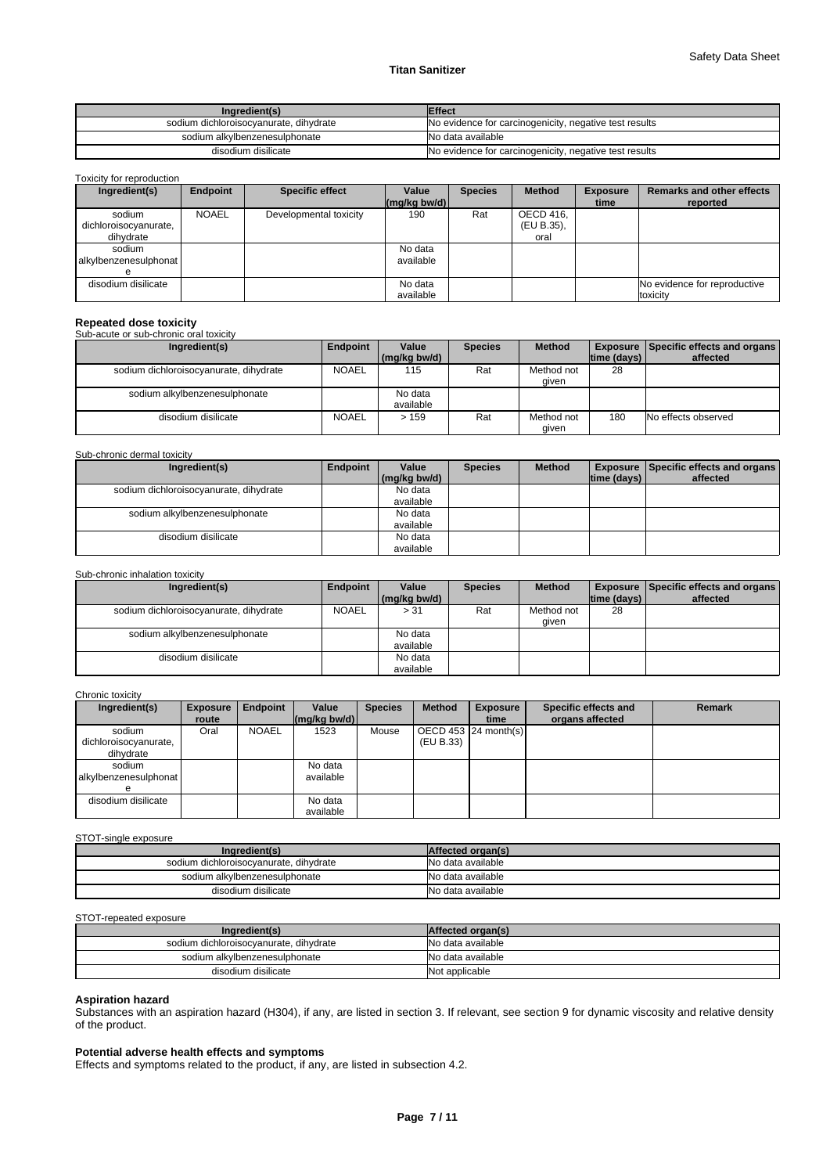| Ingredient(s)                          | <b>Effect</b>                                          |
|----------------------------------------|--------------------------------------------------------|
| sodium dichloroisocvanurate, dihydrate | No evidence for carcinogenicity, negative test results |
| sodium alkylbenzenesulphonate          | No data available                                      |
| disodium disilicate                    | No evidence for carcinogenicity, negative test results |

| Ingredient(s)         | Endpoint     | <b>Specific effect</b> | Value                                            | <b>Species</b> | <b>Method</b> | <b>Exposure</b> | <b>Remarks and other effects</b> |
|-----------------------|--------------|------------------------|--------------------------------------------------|----------------|---------------|-----------------|----------------------------------|
|                       |              |                        | $\left \frac{\text{mg}}{\text{kg}}\right $ bw/d) |                |               | time            | reported                         |
| sodium                | <b>NOAEL</b> | Developmental toxicity | 190                                              | Rat            | OECD 416,     |                 |                                  |
| dichloroisocyanurate, |              |                        |                                                  |                | (EU B.35),    |                 |                                  |
| dihvdrate             |              |                        |                                                  |                | oral          |                 |                                  |
| sodium                |              |                        | No data                                          |                |               |                 |                                  |
| alkylbenzenesulphonat |              |                        | available                                        |                |               |                 |                                  |
|                       |              |                        |                                                  |                |               |                 |                                  |
| disodium disilicate   |              |                        | No data                                          |                |               |                 | No evidence for reproductive     |
|                       |              |                        | available                                        |                |               |                 | toxicity                         |

| <b>Repeated dose toxicity</b>          |              |              |                |               |                    |                                      |
|----------------------------------------|--------------|--------------|----------------|---------------|--------------------|--------------------------------------|
| Sub-acute or sub-chronic oral toxicity |              |              |                |               |                    |                                      |
| Ingredient(s)                          | Endpoint     | Value        | <b>Species</b> | <b>Method</b> |                    | Exposure Specific effects and organs |
|                                        |              | (mg/kg bw/d) |                |               | $ time$ (days) $ $ | affected                             |
| sodium dichloroisocyanurate, dihydrate | <b>NOAEL</b> | 115          | Rat            | Method not    | 28                 |                                      |
|                                        |              |              |                | given         |                    |                                      |
| sodium alkylbenzenesulphonate          |              | No data      |                |               |                    |                                      |
|                                        |              | available    |                |               |                    |                                      |
| disodium disilicate                    | <b>NOAEL</b> | >159         | Rat            | Method not    | 180                | No effects observed                  |
|                                        |              |              |                | given         |                    |                                      |

#### Sub-chronic dermal toxicity

| Ingredient(s)                          | Endpoint | Value        | <b>Species</b> | <b>Method</b> |                    | <b>Exposure   Specific effects and organs  </b> |
|----------------------------------------|----------|--------------|----------------|---------------|--------------------|-------------------------------------------------|
|                                        |          | (mg/kg bw/d) |                |               | $ time$ (days) $ $ | affected                                        |
| sodium dichloroisocyanurate, dihydrate |          | No data      |                |               |                    |                                                 |
|                                        |          | available    |                |               |                    |                                                 |
| sodium alkylbenzenesulphonate          |          | No data      |                |               |                    |                                                 |
|                                        |          | available    |                |               |                    |                                                 |
| disodium disilicate                    |          | No data      |                |               |                    |                                                 |
|                                        |          | available    |                |               |                    |                                                 |

#### Sub-chronic inhalation toxicity

| Ingredient(s)                          | Endpoint     | Value        | <b>Species</b> | <b>Method</b> |                    | <b>Exposure   Specific effects and organs  </b> |
|----------------------------------------|--------------|--------------|----------------|---------------|--------------------|-------------------------------------------------|
|                                        |              | (mg/kg bw/d) |                |               | $ time$ (days) $ $ | affected                                        |
| sodium dichloroisocyanurate, dihydrate | <b>NOAEL</b> | > 31         | Rat            | Method not    | 28                 |                                                 |
|                                        |              |              |                | given         |                    |                                                 |
| sodium alkylbenzenesulphonate          |              | No data      |                |               |                    |                                                 |
|                                        |              | available    |                |               |                    |                                                 |
| disodium disilicate                    |              | No data      |                |               |                    |                                                 |
|                                        |              | available    |                |               |                    |                                                 |

### Chronic toxicity

| Ingredient(s)                      | <b>Exposure</b><br>route | Endpoint     | Value<br>$\left \frac{\text{mg}}{\text{kg}}\right $ (mg/kg bw/d) | <b>Species</b> | <b>Method</b> | <b>Exposure</b><br>time              | Specific effects and<br>organs affected | <b>Remark</b> |
|------------------------------------|--------------------------|--------------|------------------------------------------------------------------|----------------|---------------|--------------------------------------|-----------------------------------------|---------------|
| sodium                             | Oral                     | <b>NOAEL</b> | 1523                                                             | Mouse          |               | OECD 453 $\vert$ 24 month(s) $\vert$ |                                         |               |
| dichloroisocyanurate,<br>dihvdrate |                          |              |                                                                  |                | (EU B.33)     |                                      |                                         |               |
| sodium                             |                          |              | No data                                                          |                |               |                                      |                                         |               |
| alkylbenzenesulphonat              |                          |              | available                                                        |                |               |                                      |                                         |               |
|                                    |                          |              |                                                                  |                |               |                                      |                                         |               |
| disodium disilicate                |                          |              | No data<br>available                                             |                |               |                                      |                                         |               |

#### STOT-single exposure

| Ingredient(s)                          | Affected organ(s) |
|----------------------------------------|-------------------|
| sodium dichloroisocyanurate, dihydrate | No data available |
| sodium alkylbenzenesulphonate          | No data available |
| disodium disilicate                    | No data available |

#### STOT-repeated exposure

| Ingredient(s)                          | Affected organ(s) |
|----------------------------------------|-------------------|
| sodium dichloroisocyanurate, dihydrate | No data available |
| sodium alkylbenzenesulphonate          | No data available |
| disodium disilicate                    | Not applicable    |

## **Aspiration hazard**

Substances with an aspiration hazard (H304), if any, are listed in section 3. If relevant, see section 9 for dynamic viscosity and relative density of the product.

## **Potential adverse health effects and symptoms**

Effects and symptoms related to the product, if any, are listed in subsection 4.2.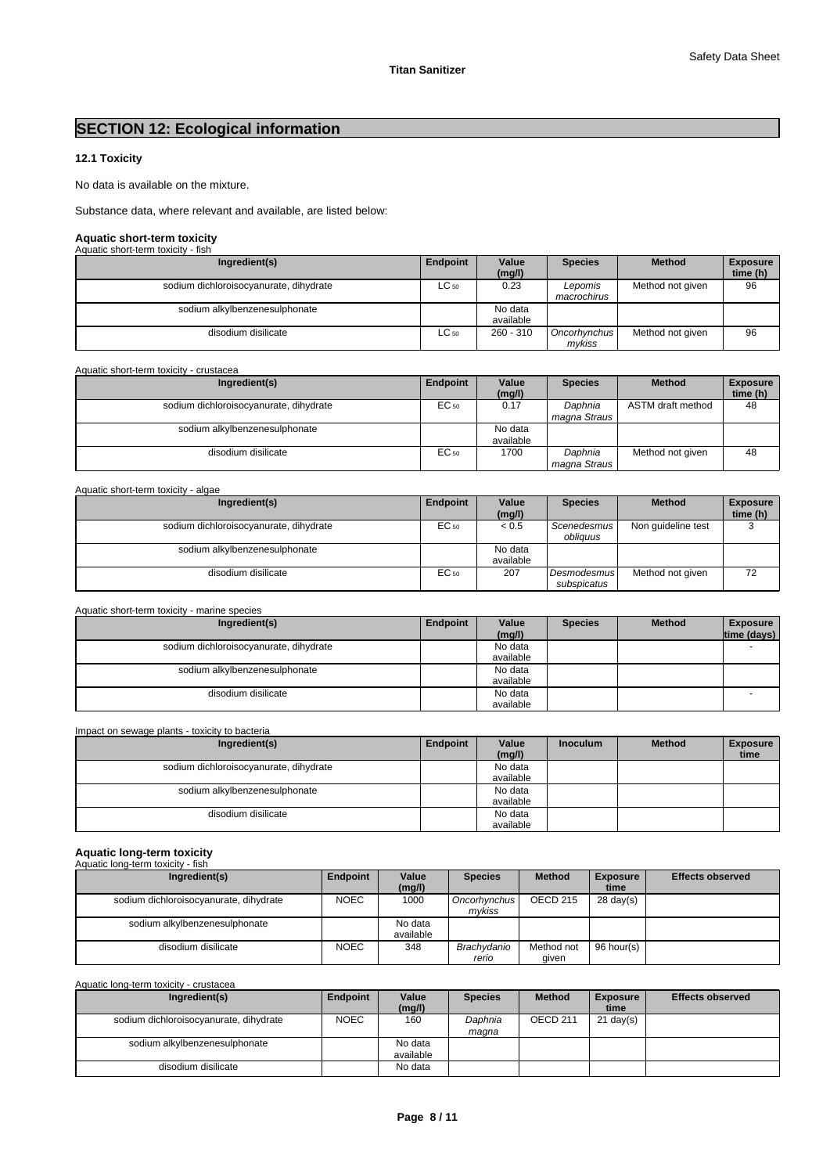# **SECTION 12: Ecological information**

## **12.1 Toxicity**

No data is available on the mixture.

Substance data, where relevant and available, are listed below:

# **Aquatic short-term toxicity**

| Aquatic short-term toxicity - fish     |           |                      |                        |                  |                             |
|----------------------------------------|-----------|----------------------|------------------------|------------------|-----------------------------|
| Ingredient(s)                          | Endpoint  | Value<br>(mg/l)      | <b>Species</b>         | <b>Method</b>    | <b>Exposure</b><br>time (h) |
| sodium dichloroisocyanurate, dihydrate | $LC_{50}$ | 0.23                 | Lepomis<br>macrochirus | Method not given | 96                          |
| sodium alkylbenzenesulphonate          |           | No data<br>available |                        |                  |                             |
| disodium disilicate                    | $LC_{50}$ | $260 - 310$          | Oncorhynchus<br>mvkiss | Method not given | 96                          |

| Aquatic short-term toxicity - crustacea |          |                      |                         |                   |                             |
|-----------------------------------------|----------|----------------------|-------------------------|-------------------|-----------------------------|
| Ingredient(s)                           | Endpoint | Value<br>(mg/l)      | <b>Species</b>          | <b>Method</b>     | <b>Exposure</b><br>time (h) |
| sodium dichloroisocyanurate, dihydrate  | EC 50    | 0.17                 | Daphnia<br>magna Straus | ASTM draft method | 48                          |
| sodium alkylbenzenesulphonate           |          | No data<br>available |                         |                   |                             |
| disodium disilicate                     | EC 50    | 1700                 | Daphnia<br>magna Straus | Method not given  | 48                          |

## Aquatic short-term toxicity - algae

| Ingredient(s)                          | Endpoint | Value<br>(mg/l)      | <b>Species</b>                    | <b>Method</b>      | <b>Exposure</b><br>time (h) |
|----------------------------------------|----------|----------------------|-----------------------------------|--------------------|-----------------------------|
| sodium dichloroisocyanurate, dihydrate | EC 50    | < 0.5                | Scenedesmus<br>obliguus           | Non quideline test | ω.                          |
| sodium alkylbenzenesulphonate          |          | No data<br>available |                                   |                    |                             |
| disodium disilicate                    | EC 50    | 207                  | <b>Desmodesmus</b><br>subspicatus | Method not given   | 72                          |

### Aquatic short-term toxicity - marine species

| Ingredient(s)                          | Endpoint | Value<br>(mg/l) | <b>Species</b> | <b>Method</b> | <b>Exposure</b><br>time (days) $ $ |
|----------------------------------------|----------|-----------------|----------------|---------------|------------------------------------|
| sodium dichloroisocyanurate, dihydrate |          | No data         |                |               |                                    |
|                                        |          | available       |                |               |                                    |
| sodium alkylbenzenesulphonate          |          | No data         |                |               |                                    |
|                                        |          | available       |                |               |                                    |
| disodium disilicate                    |          | No data         |                |               |                                    |
|                                        |          | available       |                |               |                                    |

## Impact on sewage plants - toxicity to bacteria

| Ingredient(s)                          | Endpoint | Value     | <b>Inoculum</b> | <b>Method</b> | <b>Exposure</b> |
|----------------------------------------|----------|-----------|-----------------|---------------|-----------------|
|                                        |          | (mg/l)    |                 |               | time            |
| sodium dichloroisocyanurate, dihydrate |          | No data   |                 |               |                 |
|                                        |          | available |                 |               |                 |
| sodium alkylbenzenesulphonate          |          | No data   |                 |               |                 |
|                                        |          | available |                 |               |                 |
| disodium disilicate                    |          | No data   |                 |               |                 |
|                                        |          | available |                 |               |                 |

# **Aquatic long-term toxicity** Aquatic long-term toxicity - fish

| Ingredient(s)                          | Endpoint    | Value<br>(mg/l) | <b>Species</b> | <b>Method</b> | <b>Exposure</b><br>time | <b>Effects observed</b> |
|----------------------------------------|-------------|-----------------|----------------|---------------|-------------------------|-------------------------|
| sodium dichloroisocyanurate, dihydrate | <b>NOEC</b> | 1000            | Oncorhynchus   | OECD 215      | $28 \text{ day}(s)$     |                         |
|                                        |             |                 | mykiss         |               |                         |                         |
| sodium alkylbenzenesulphonate          |             | No data         |                |               |                         |                         |
|                                        |             | available       |                |               |                         |                         |
| disodium disilicate                    | <b>NOEC</b> | 348             | Brachydanio    | Method not    | 96 hour(s)              |                         |
|                                        |             |                 | rerio          | given         |                         |                         |

#### Aquatic long-term toxicity - crustacea

| Ingredient(s)                          | Endpoint    | Value<br>(mg/l)      | <b>Species</b>   | <b>Method</b> | <b>Exposure</b><br>time | <b>Effects observed</b> |
|----------------------------------------|-------------|----------------------|------------------|---------------|-------------------------|-------------------------|
| sodium dichloroisocyanurate, dihydrate | <b>NOEC</b> | 160                  | Daphnia<br>maqna | OECD 211      | $21$ day(s)             |                         |
| sodium alkylbenzenesulphonate          |             | No data<br>available |                  |               |                         |                         |
| disodium disilicate                    |             | No data              |                  |               |                         |                         |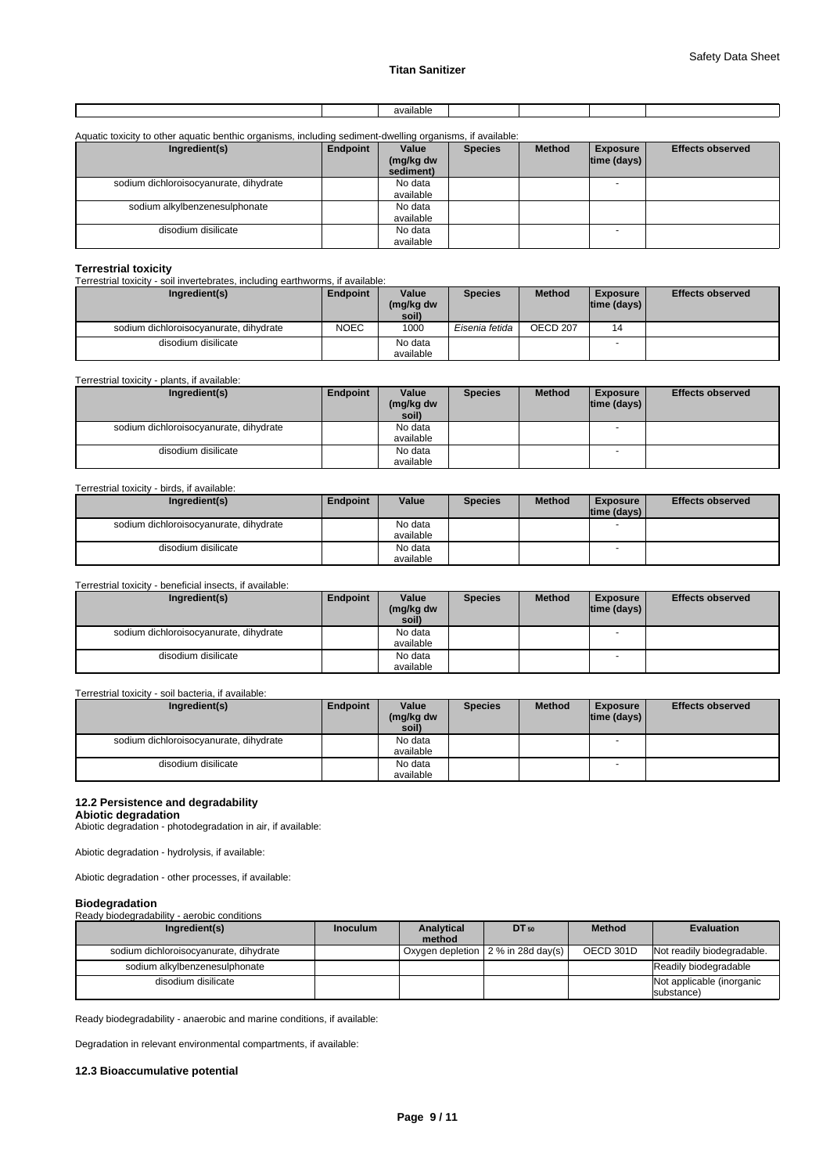| Aquatic toxicity to other aquatic benthic organisms, including sediment-dwelling organisms, if available: |          |                                 |                |               |                                |                         |  |  |  |
|-----------------------------------------------------------------------------------------------------------|----------|---------------------------------|----------------|---------------|--------------------------------|-------------------------|--|--|--|
| Ingredient(s)                                                                                             | Endpoint | Value<br>(mg/kg dw<br>sediment) | <b>Species</b> | <b>Method</b> | <b>Exposure</b><br>time (days) | <b>Effects observed</b> |  |  |  |
| sodium dichloroisocyanurate, dihydrate                                                                    |          | No data<br>available            |                |               |                                |                         |  |  |  |
| sodium alkylbenzenesulphonate                                                                             |          | No data<br>available            |                |               |                                |                         |  |  |  |
| disodium disilicate                                                                                       |          | No data<br>available            |                |               |                                |                         |  |  |  |

#### **Terrestrial toxicity**

Terrestrial toxicity - soil invertebrates, including earthworms, if available:

| Ingredient(s)                          | Endpoint    | Value<br>(mg/kg dw<br>soil) | <b>Species</b> | <b>Method</b>   | <b>Exposure</b><br> time (days) | <b>Effects observed</b> |
|----------------------------------------|-------------|-----------------------------|----------------|-----------------|---------------------------------|-------------------------|
| sodium dichloroisocyanurate, dihydrate | <b>NOEC</b> | 1000                        | Eisenia fetida | <b>OECD 207</b> | 14                              |                         |
| disodium disilicate                    |             | No data<br>available        |                |                 | $\overline{\phantom{a}}$        |                         |

#### Terrestrial toxicity - plants, if available:

| Ingredient(s)                          | Endpoint | Value              | <b>Species</b> | <b>Method</b> | <b>Exposure</b>    | <b>Effects observed</b> |
|----------------------------------------|----------|--------------------|----------------|---------------|--------------------|-------------------------|
|                                        |          | (mg/kg dw<br>soil) |                |               | $ time$ (days) $ $ |                         |
| sodium dichloroisocyanurate, dihydrate |          | No data            |                |               |                    |                         |
|                                        |          |                    |                |               |                    |                         |
|                                        |          | available          |                |               |                    |                         |
| disodium disilicate                    |          | No data            |                |               |                    |                         |
|                                        |          | available          |                |               |                    |                         |

#### Terrestrial toxicity - birds, if available:

| Ingredient(s)                          | Endpoint | Value     | <b>Species</b> | <b>Method</b> | <b>Exposure</b>          | <b>Effects observed</b> |
|----------------------------------------|----------|-----------|----------------|---------------|--------------------------|-------------------------|
|                                        |          |           |                |               | time (days)              |                         |
| sodium dichloroisocyanurate, dihydrate |          | No data   |                |               |                          |                         |
|                                        |          | available |                |               |                          |                         |
| disodium disilicate                    |          | No data   |                |               | $\overline{\phantom{a}}$ |                         |
|                                        |          | available |                |               |                          |                         |

#### Terrestrial toxicity - beneficial insects, if available:

| Ingredient(s)                          | Endpoint | Value              | <b>Species</b> | <b>Method</b> | <b>Exposure</b>    | <b>Effects observed</b> |
|----------------------------------------|----------|--------------------|----------------|---------------|--------------------|-------------------------|
|                                        |          | (mg/kg dw<br>soil) |                |               | $ time$ (days) $ $ |                         |
|                                        |          |                    |                |               |                    |                         |
| sodium dichloroisocyanurate, dihydrate |          | No data            |                |               |                    |                         |
|                                        |          | available          |                |               |                    |                         |
| disodium disilicate                    |          | No data            |                |               | <b>1</b>           |                         |
|                                        |          | available          |                |               |                    |                         |

#### Terrestrial toxicity - soil bacteria, if available:

| Ingredient(s)                          | Endpoint | Value     | <b>Species</b> | <b>Method</b> | <b>Exposure</b> | <b>Effects observed</b> |
|----------------------------------------|----------|-----------|----------------|---------------|-----------------|-------------------------|
|                                        |          | (mg/kg dw |                |               | time (days)     |                         |
|                                        |          | soil)     |                |               |                 |                         |
| sodium dichloroisocyanurate, dihydrate |          | No data   |                |               |                 |                         |
|                                        |          | available |                |               |                 |                         |
| disodium disilicate                    |          | No data   |                |               |                 |                         |
|                                        |          | available |                |               |                 |                         |

#### **12.2 Persistence and degradability**

**Abiotic degradation** Abiotic degradation - photodegradation in air, if available:

Abiotic degradation - hydrolysis, if available:

Abiotic degradation - other processes, if available:

#### **Biodegradation**

| Ready biodegradability - aerobic conditions |                 |                      |                                       |               |                            |  |
|---------------------------------------------|-----------------|----------------------|---------------------------------------|---------------|----------------------------|--|
| Ingredient(s)                               | <b>Inoculum</b> | Analytical<br>method | DT 50                                 | <b>Method</b> | <b>Evaluation</b>          |  |
| sodium dichloroisocyanurate, dihydrate      |                 |                      | Oxygen depletion   $2%$ in 28d day(s) | OECD 301D     | Not readily biodegradable. |  |
|                                             |                 |                      |                                       |               |                            |  |
| sodium alkylbenzenesulphonate               |                 |                      |                                       |               | Readily biodegradable      |  |
| disodium disilicate                         |                 |                      |                                       |               | Not applicable (inorganic  |  |
|                                             |                 |                      |                                       |               | substance)                 |  |

Ready biodegradability - anaerobic and marine conditions, if available:

Degradation in relevant environmental compartments, if available:

#### **12.3 Bioaccumulative potential**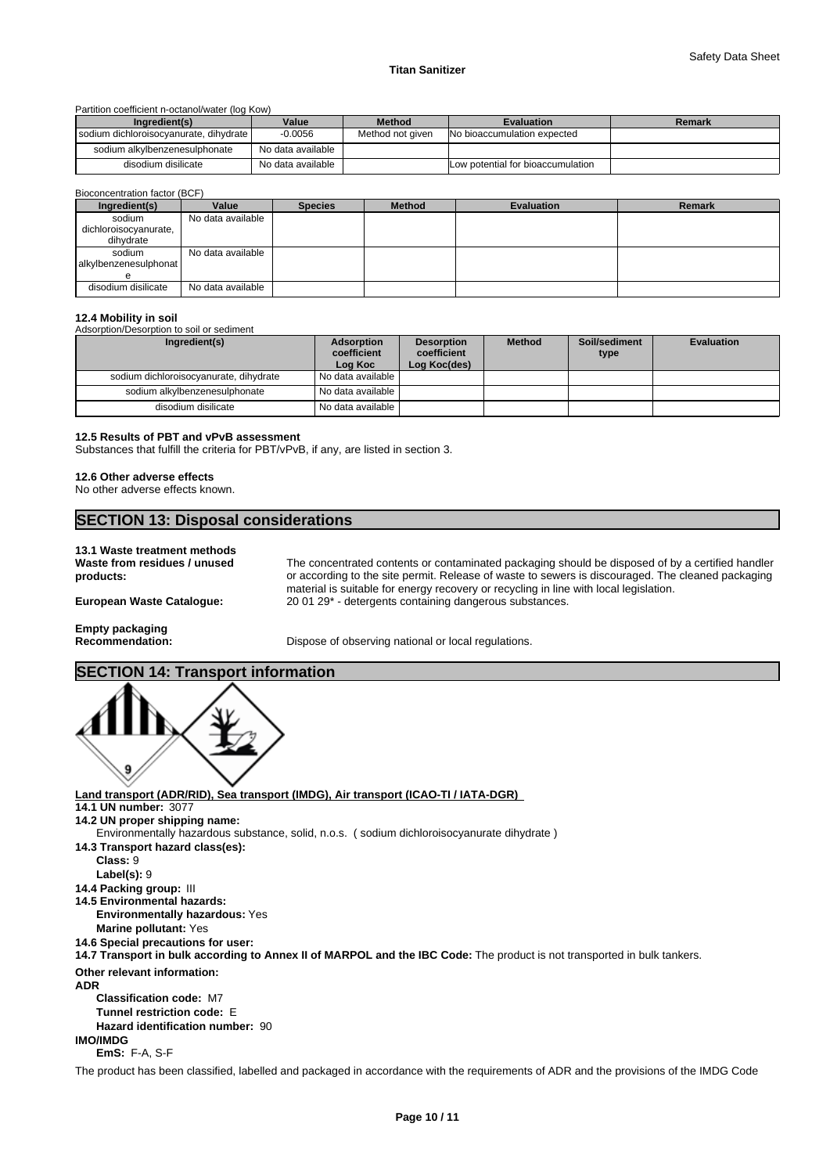Partition coefficient n-octanol/water (log Kow)

| Ingredient(s)                          | Value             | <b>Method</b>    | <b>Evaluation</b>                 | Remark |
|----------------------------------------|-------------------|------------------|-----------------------------------|--------|
| sodium dichloroisocyanurate, dihydrate | $-0.0056$         | Method not given | No bioaccumulation expected       |        |
| sodium alkylbenzenesulphonate          | No data available |                  |                                   |        |
| disodium disilicate                    | No data available |                  | Low potential for bioaccumulation |        |

Bioconcentration factor (BCF)

| Ingredient(s)         | Value             | <b>Species</b> | <b>Method</b> | <b>Evaluation</b> | Remark |
|-----------------------|-------------------|----------------|---------------|-------------------|--------|
| sodium                | No data available |                |               |                   |        |
| dichloroisocyanurate, |                   |                |               |                   |        |
| dihydrate             |                   |                |               |                   |        |
| sodium                | No data available |                |               |                   |        |
| alkylbenzenesulphonat |                   |                |               |                   |        |
|                       |                   |                |               |                   |        |
| disodium disilicate   | No data available |                |               |                   |        |

#### **12.4 Mobility in soil**

Adsorption/Desorption to soil or sediment

| Ingredient(s)                          | Adsorption<br>coefficient<br>Log Koc | <b>Desorption</b><br>coefficient<br>Log Koc(des) | <b>Method</b> | Soil/sediment<br>type | <b>Evaluation</b> |
|----------------------------------------|--------------------------------------|--------------------------------------------------|---------------|-----------------------|-------------------|
| sodium dichloroisocyanurate, dihydrate | No data available                    |                                                  |               |                       |                   |
| sodium alkylbenzenesulphonate          | No data available                    |                                                  |               |                       |                   |
| disodium disilicate                    | No data available                    |                                                  |               |                       |                   |

#### **12.5 Results of PBT and vPvB assessment**

Substances that fulfill the criteria for PBT/vPvB, if any, are listed in section 3.

#### **12.6 Other adverse effects**

No other adverse effects known.

## **SECTION 13: Disposal considerations**

## **13.1 Waste treatment methods**

**Waste from residues / unused products:**

The concentrated contents or contaminated packaging should be disposed of by a certified handler or according to the site permit. Release of waste to sewers is discouraged. The cleaned packaging material is suitable for energy recovery or recycling in line with local legislation. **European Waste Catalogue:** 20 01 29\* - detergents containing dangerous substances.

**Empty packaging**

**Recommendation:** Dispose of observing national or local regulations.

#### **SECTION 14: Transport information**



**Land transport (ADR/RID), Sea transport (IMDG), Air transport (ICAO-TI / IATA-DGR) 14.1 UN number:** 3077 **14.2 UN proper shipping name: 14.3 Transport hazard class(es): Class:** 9 **Label(s):** 9 **14.4 Packing group:** III **14.5 Environmental hazards: Environmentally hazardous:** Yes **Marine pollutant:** Yes **14.6 Special precautions for user: 14.7 Transport in bulk according to Annex II of MARPOL and the IBC Code:** The product is not transported in bulk tankers. **Other relevant information: ADR Classification code:** M7 **Tunnel restriction code:** E **Hazard identification number:** 90 **IMO/IMDG EmS:** F-A, S-F Environmentally hazardous substance, solid, n.o.s. ( sodium dichloroisocyanurate dihydrate )

The product has been classified, labelled and packaged in accordance with the requirements of ADR and the provisions of the IMDG Code